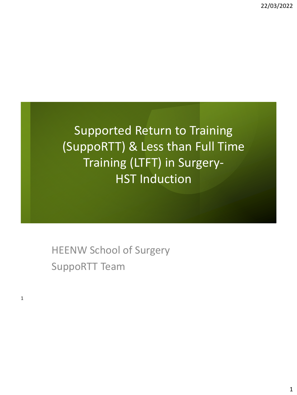Supported Return to Training (SuppoRTT) & Less than Full Time Training (LTFT) in Surgery-HST Induction

HEENW School of Surgery SuppoRTT Team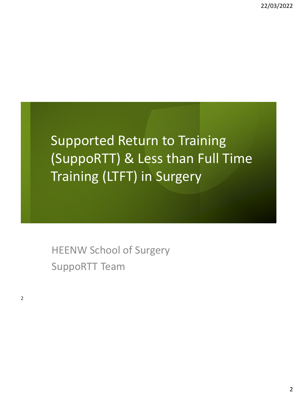# Supported Return to Training (SuppoRTT) & Less than Full Time Training (LTFT) in Surgery

HEENW School of Surgery SuppoRTT Team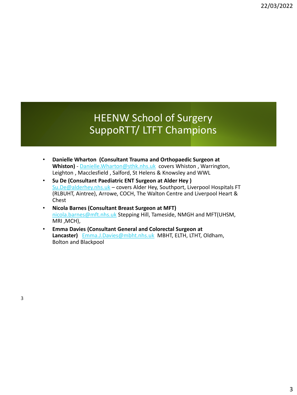#### HEENW School of Surgery SuppoRTT/ LTFT Champions

- **Danielle Wharton (Consultant Trauma and Orthopaedic Surgeon at**  Whiston) - [Danielle.Wharton@sthk.nhs.uk](mailto:Danielle.Wharton@sthk.nhs.uk) covers Whiston, Warrington, Leighton , Macclesfield , Salford, St Helens & Knowsley and WWL
- **Su De (Consultant Paediatric ENT Surgeon at Alder Hey )**  [Su.De@alderhey.nhs.uk](mailto:Su.De@alderhey.nhs.uk) - covers Alder Hey, Southport, Liverpool Hospitals FT (RLBUHT, Aintree), Arrowe, COCH, The Walton Centre and Liverpool Heart & Chest
- **Nicola Barnes (Consultant Breast Surgeon at MFT)**  [nicola.barnes@mft.nhs.uk](mailto:nicola.barnes@mft.nhs.uk) Stepping Hill, Tameside, NMGH and MFT(UHSM, MRI ,MCH),
- **Emma Davies (Consultant General and Colorectal Surgeon at Lancaster)** [Emma.J.Davies@mbht.nhs.uk](mailto:Emma.J.Davies@mbht.nhs.uk) MBHT, ELTH, LTHT, Oldham, Bolton and Blackpool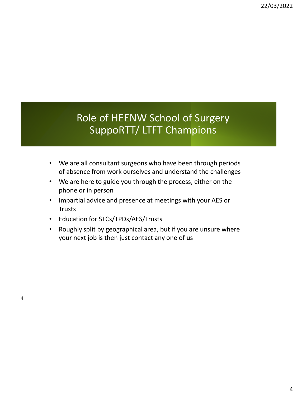#### Role of HEENW School of Surgery SuppoRTT/ LTFT Champions

- We are all consultant surgeons who have been through periods of absence from work ourselves and understand the challenges
- We are here to guide you through the process, either on the phone or in person
- Impartial advice and presence at meetings with your AES or **Trusts**
- Education for STCs/TPDs/AES/Trusts
- Roughly split by geographical area, but if you are unsure where your next job is then just contact any one of us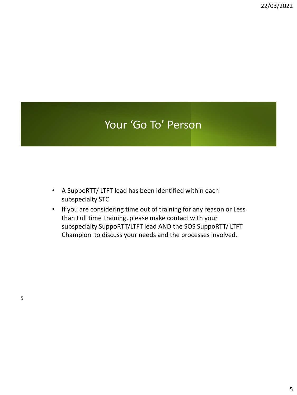### Your 'Go To' Person

- A SuppoRTT/ LTFT lead has been identified within each subspecialty STC
- If you are considering time out of training for any reason or Less than Full time Training, please make contact with your subspecialty SuppoRTT/LTFT lead AND the SOS SuppoRTT/ LTFT Champion to discuss your needs and the processes involved.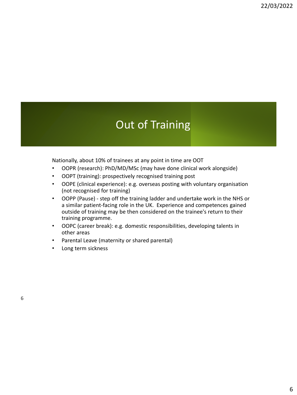### Out of Training

Nationally, about 10% of trainees at any point in time are OOT

- OOPR (research): PhD/MD/MSc (may have done clinical work alongside)
- OOPT (training): prospectively recognised training post
- OOPE (clinical experience): e.g. overseas posting with voluntary organisation (not recognised for training)
- OOPP (Pause) step off the training ladder and undertake work in the NHS or a similar patient-facing role in the UK. Experience and competences gained outside of training may be then considered on the trainee's return to their training programme.
- OOPC (career break): e.g. domestic responsibilities, developing talents in other areas
- Parental Leave (maternity or shared parental)
- Long term sickness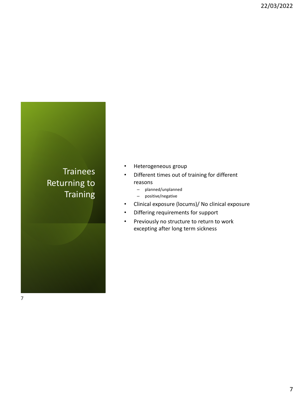#### **Trainees** Returning to **Training**

- Heterogeneous group
- Different times out of training for different reasons
	- planned/unplanned
	- positive/negative
- Clinical exposure (locums)/ No clinical exposure
- Differing requirements for support
- Previously no structure to return to work excepting after long term sickness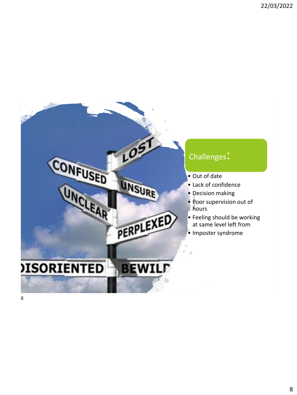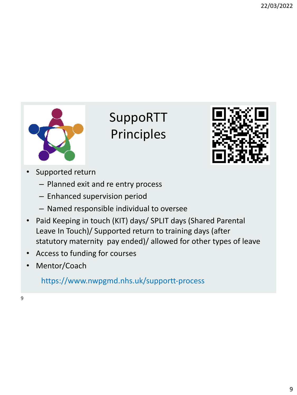

# SuppoRTT Principles



- Supported return
	- Planned exit and re entry process
	- Enhanced supervision period
	- Named responsible individual to oversee
- Paid Keeping in touch (KIT) days/ SPLIT days (Shared Parental Leave In Touch)/ Supported return to training days (after statutory maternity pay ended)/ allowed for other types of leave
- Access to funding for courses
- Mentor/Coach

https://www.nwpgmd.nhs.uk/supportt-process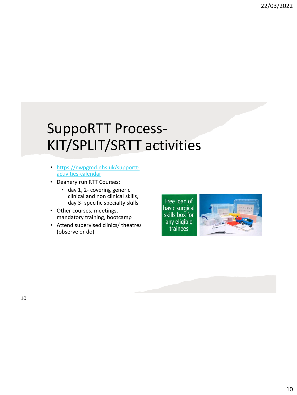## SuppoRTT Process-KIT/SPLIT/SRTT activities

- [https://nwpgmd.nhs.uk/supportt](https://nwpgmd.nhs.uk/supportt-activities-calendar)activities-calendar
- Deanery run RTT Courses:
	- day 1, 2- covering generic clinical and non clinical skills, day 3- specific specialty skills
- Other courses, meetings, mandatory training, bootcamp
- Attend supervised clinics/ theatres (observe or do)

Free loan of basic surgical skills box for any eligible trainees

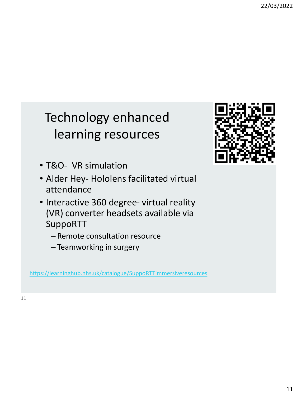## Technology enhanced learning resources

- T&O- VR simulation
- Alder Hey- Hololens facilitated virtual attendance
- Interactive 360 degree- virtual reality (VR) converter headsets available via SuppoRTT
	- Remote consultation resource
	- Teamworking in surgery

<https://learninghub.nhs.uk/catalogue/SuppoRTTimmersiveresources>

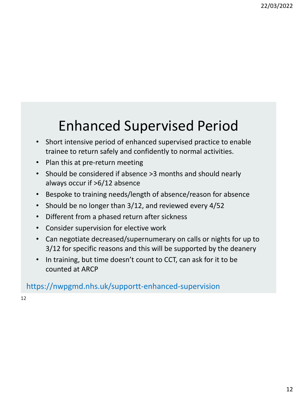# Enhanced Supervised Period

- Short intensive period of enhanced supervised practice to enable trainee to return safely and confidently to normal activities.
- Plan this at pre-return meeting
- Should be considered if absence >3 months and should nearly always occur if >6/12 absence
- Bespoke to training needs/length of absence/reason for absence
- Should be no longer than 3/12, and reviewed every 4/52
- Different from a phased return after sickness
- Consider supervision for elective work
- Can negotiate decreased/supernumerary on calls or nights for up to 3/12 for specific reasons and this will be supported by the deanery
- In training, but time doesn't count to CCT, can ask for it to be counted at ARCP

https://nwpgmd.nhs.uk/supportt-enhanced-supervision

12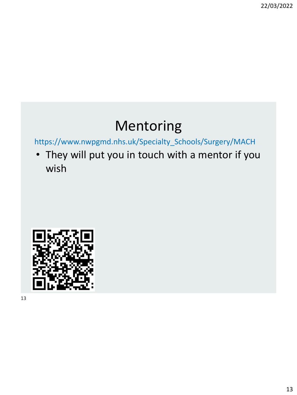22/03/2022

### Mentoring

https://www.nwpgmd.nhs.uk/Specialty\_Schools/Surgery/MACH

• They will put you in touch with a mentor if you wish

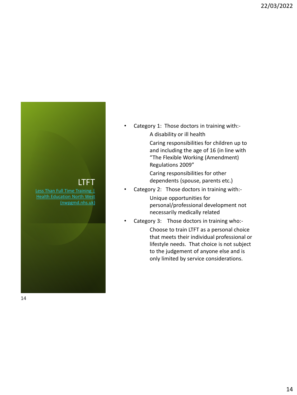22/03/2022



Caring responsibilities for children up to and including the age of 16 (in line with "The Flexible Working (Amendment) Regulations 2009"

Caring responsibilities for other dependents (spouse, parents etc.)

• Category 2: Those doctors in training with:-

Unique opportunities for personal/professional development not necessarily medically related

• Category 3: Those doctors in training who:-

Choose to train LTFT as a personal choice that meets their individual professional or lifestyle needs. That choice is not subject to the judgement of anyone else and is only limited by service considerations.

#### LTFT

Less Than Full Time Training | **Health Education North West** (nwpgmd.nhs.uk)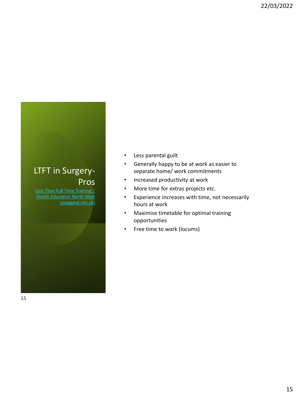#### LTFT in Surgery-Pros

Less Than Full Time Training | **Health Education North West** (nwpgmd.nhs.uk)

- Less parental guilt
- Generally happy to be at work as easier to separate home/ work commitments
- Increased productivity at work
- More time for extras projects etc.
- Experience increases with time, not necessarily hours at work
- Maximise timetable for optimal training opportunities
- Free time to work (locums)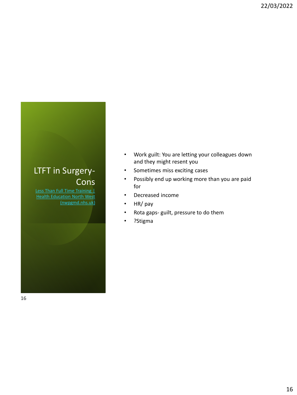#### LTFT in Surgery-**Cons**

Less Than Full Time Training **Health Education North West** (nwpgmd.nhs.uk)

- Work guilt: You are letting your colleagues down and they might resent you
- Sometimes miss exciting cases
- Possibly end up working more than you are paid for
- Decreased income
- HR/ pay
- Rota gaps- guilt, pressure to do them
- ?Stigma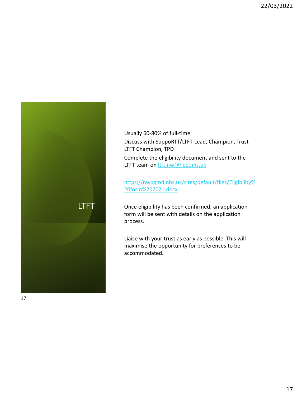

Usually 60-80% of full-time Discuss with SuppoRTT/LTFT Lead, Champion, Trust LTFT Champion, TPD Complete the eligibility document and sent to the LTFT team on **Itft.nw@hee.nhs.uk** 

[https://nwpgmd.nhs.uk/sites/default/files/Eligibility%](https://nwpgmd.nhs.uk/sites/default/files/Eligibility%20form%202021.docx) 20form%202021.docx

Once eligibility has been confirmed, an application form will be sent with details on the application process.

Liaise with your trust as early as possible. This will maximise the opportunity for preferences to be accommodated.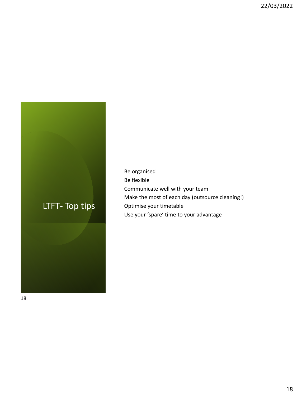#### LTFT- Top tips

Be organised Be flexible Communicate well with your team Make the most of each day (outsource cleaning!) Optimise your timetable Use your 'spare' time to your advantage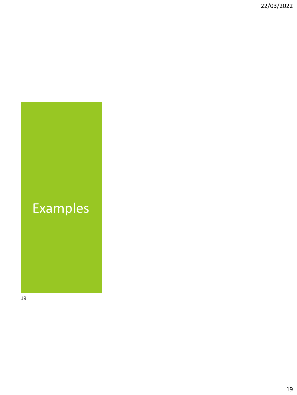# Examples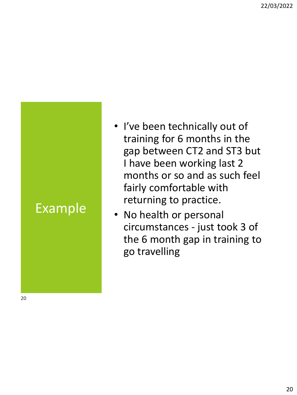# Example

- I've been technically out of training for 6 months in the gap between CT2 and ST3 but I have been working last 2 months or so and as such feel fairly comfortable with returning to practice.
- No health or personal circumstances - just took 3 of the 6 month gap in training to go travelling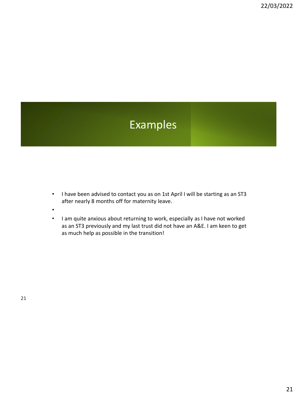### Examples

- I have been advised to contact you as on 1st April I will be starting as an ST3 after nearly 8 months off for maternity leave.
- •
- I am quite anxious about returning to work, especially as I have not worked as an ST3 previously and my last trust did not have an A&E. I am keen to get as much help as possible in the transition!